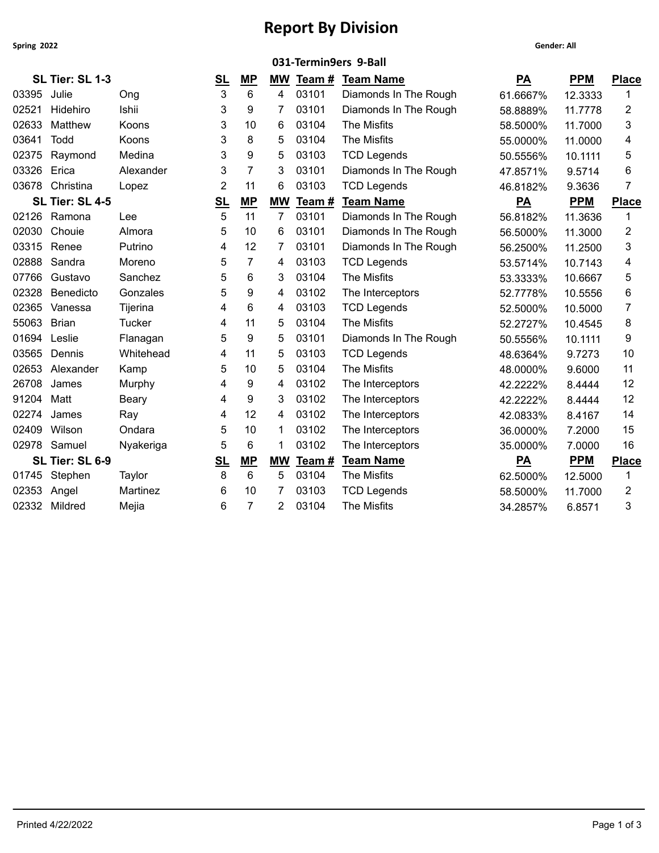**Spring 2022 Gender: All**

## **Report By Division**

|       | 031-Termin9ers 9-Ball |               |                |                |                |        |                       |                           |            |                |
|-------|-----------------------|---------------|----------------|----------------|----------------|--------|-----------------------|---------------------------|------------|----------------|
|       | SL Tier: SL 1-3       |               | <u>SL</u>      | <u>MP</u>      | МW             | Team # | <b>Team Name</b>      | <u>PA</u>                 | <b>PPM</b> | <b>Place</b>   |
| 03395 | Julie                 | Ong           | 3              | 6              | 4              | 03101  | Diamonds In The Rough | 61.6667%                  | 12.3333    | 1              |
| 02521 | Hidehiro              | Ishii         | 3              | 9              | 7              | 03101  | Diamonds In The Rough | 58.8889%                  | 11.7778    | $\overline{c}$ |
| 02633 | Matthew               | Koons         | 3              | 10             | 6              | 03104  | The Misfits           | 58.5000%                  | 11.7000    | 3              |
| 03641 | Todd                  | Koons         | 3              | 8              | 5              | 03104  | The Misfits           | 55.0000%                  | 11.0000    | 4              |
| 02375 | Raymond               | Medina        | 3              | 9              | 5              | 03103  | <b>TCD Legends</b>    | 50.5556%                  | 10.1111    | 5              |
| 03326 | Erica                 | Alexander     | 3              | $\overline{7}$ | 3              | 03101  | Diamonds In The Rough | 47.8571%                  | 9.5714     | 6              |
|       | 03678 Christina       | Lopez         | $\overline{2}$ | 11             | 6              | 03103  | <b>TCD Legends</b>    | 46.8182%                  | 9.3636     | 7              |
|       | SL Tier: SL 4-5       |               | <u>SL</u>      | <b>MP</b>      | <b>MW</b>      | Team#  | <b>Team Name</b>      | $\underline{PA}$          | <b>PPM</b> | <b>Place</b>   |
|       | 02126 Ramona          | Lee           | 5              | 11             | $\overline{7}$ | 03101  | Diamonds In The Rough | 56.8182%                  | 11.3636    | 1              |
| 02030 | Chouie                | Almora        | 5              | 10             | 6              | 03101  | Diamonds In The Rough | 56.5000%                  | 11.3000    | $\overline{c}$ |
| 03315 | Renee                 | Putrino       | 4              | 12             | 7              | 03101  | Diamonds In The Rough | 56.2500%                  | 11.2500    | 3              |
| 02888 | Sandra                | Moreno        | 5              | $\overline{7}$ | 4              | 03103  | <b>TCD Legends</b>    | 53.5714%                  | 10.7143    | 4              |
| 07766 | Gustavo               | Sanchez       | 5              | 6              | 3              | 03104  | The Misfits           | 53.3333%                  | 10.6667    | 5              |
| 02328 | Benedicto             | Gonzales      | 5              | 9              | 4              | 03102  | The Interceptors      | 52.7778%                  | 10.5556    | 6              |
| 02365 | Vanessa               | Tijerina      | 4              | 6              | 4              | 03103  | <b>TCD Legends</b>    | 52.5000%                  | 10.5000    | $\overline{7}$ |
| 55063 | <b>Brian</b>          | <b>Tucker</b> | 4              | 11             | 5              | 03104  | The Misfits           | 52.2727%                  | 10.4545    | 8              |
| 01694 | Leslie                | Flanagan      | 5              | 9              | 5              | 03101  | Diamonds In The Rough | 50.5556%                  | 10.1111    | 9              |
| 03565 | Dennis                | Whitehead     | 4              | 11             | 5              | 03103  | <b>TCD Legends</b>    | 48.6364%                  | 9.7273     | 10             |
| 02653 | Alexander             | Kamp          | 5              | 10             | 5              | 03104  | The Misfits           | 48.0000%                  | 9.6000     | 11             |
| 26708 | James                 | Murphy        | 4              | 9              | 4              | 03102  | The Interceptors      | 42.2222%                  | 8.4444     | 12             |
| 91204 | Matt                  | Beary         | 4              | 9              | 3              | 03102  | The Interceptors      | 42.2222%                  | 8.4444     | 12             |
| 02274 | James                 | Ray           | 4              | 12             | 4              | 03102  | The Interceptors      | 42.0833%                  | 8.4167     | 14             |
| 02409 | Wilson                | Ondara        | 5              | 10             | 1              | 03102  | The Interceptors      | 36.0000%                  | 7.2000     | 15             |
|       | 02978 Samuel          | Nyakeriga     | 5              | $\,6$          | 1              | 03102  | The Interceptors      | 35.0000%                  | 7.0000     | 16             |
|       | SL Tier: SL 6-9       |               | <u>SL</u>      | MP             | <b>MW</b>      | Team#  | <b>Team Name</b>      | $\underline{\mathsf{PA}}$ | <b>PPM</b> | <b>Place</b>   |
|       | 01745 Stephen         | Taylor        | 8              | 6              | 5              | 03104  | <b>The Misfits</b>    | 62.5000%                  | 12.5000    | 1              |
| 02353 | Angel                 | Martinez      | 6              | 10             |                | 03103  | <b>TCD Legends</b>    | 58.5000%                  | 11.7000    | $\overline{c}$ |
|       | 02332 Mildred         | Mejia         | 6              | $\overline{7}$ | 2              | 03104  | The Misfits           | 34.2857%                  | 6.8571     | 3              |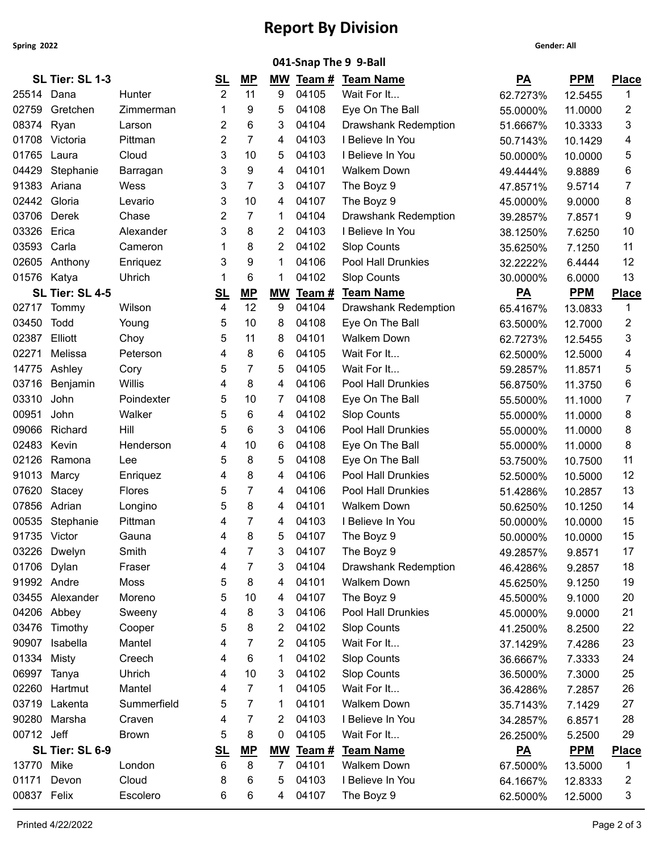**Spring 2022 Gender: All**

## **Report By Division**

|              |                 |               |                         |                |                |       | 041-Snap The 9 9-Ball       |                  |            |              |
|--------------|-----------------|---------------|-------------------------|----------------|----------------|-------|-----------------------------|------------------|------------|--------------|
|              | SL Tier: SL 1-3 |               | <u>SL</u>               | <u>MP</u>      |                |       | MW Team # Team Name         | $\underline{PA}$ | <b>PPM</b> | <b>Place</b> |
| 25514 Dana   |                 | Hunter        | 2                       | 11             | 9              | 04105 | Wait For It                 | 62.7273%         | 12.5455    | 1            |
| 02759        | Gretchen        | Zimmerman     |                         | 9              | 5              | 04108 | Eye On The Ball             | 55.0000%         | 11.0000    | 2            |
| 08374 Ryan   |                 | Larson        | 2                       | 6              | 3              | 04104 | <b>Drawshank Redemption</b> | 51.6667%         | 10.3333    | 3            |
| 01708        | Victoria        | Pittman       | 2                       | 7              | 4              | 04103 | I Believe In You            | 50.7143%         | 10.1429    | 4            |
| 01765 Laura  |                 | Cloud         | 3                       | 10             | 5              | 04103 | I Believe In You            | 50.0000%         | 10.0000    | 5            |
| 04429        | Stephanie       | Barragan      | 3                       | 9              | 4              | 04101 | <b>Walkem Down</b>          | 49.4444%         | 9.8889     | 6            |
| 91383        | Ariana          | Wess          | 3                       | 7              | 3              | 04107 | The Boyz 9                  | 47.8571%         | 9.5714     | 7            |
| 02442        | Gloria          | Levario       | 3                       | 10             | 4              | 04107 | The Boyz 9                  | 45.0000%         | 9.0000     | 8            |
| 03706        | Derek           | Chase         | 2                       | 7              | -1             | 04104 | <b>Drawshank Redemption</b> | 39.2857%         | 7.8571     | 9            |
| 03326        | Erica           | Alexander     | 3                       | 8              | 2              | 04103 | I Believe In You            | 38.1250%         | 7.6250     | 10           |
| 03593        | Carla           | Cameron       |                         | 8              | 2              | 04102 | <b>Slop Counts</b>          | 35.6250%         | 7.1250     | 11           |
|              | 02605 Anthony   | Enriquez      | 3                       | 9              | -1             | 04106 | Pool Hall Drunkies          | 32.2222%         | 6.4444     | 12           |
| 01576 Katya  |                 | Uhrich        |                         | 6              | -1             | 04102 | <b>Slop Counts</b>          | 30.0000%         | 6.0000     | 13           |
|              | SL Tier: SL 4-5 |               | <u>SL</u>               | $MP$           | <b>MW</b>      | Team# | <b>Team Name</b>            | $\underline{PA}$ | <b>PPM</b> | <b>Place</b> |
| 02717        | Tommy           | Wilson        | 4                       | 12             | 9              | 04104 | Drawshank Redemption        | 65.4167%         | 13.0833    | 1            |
| 03450        | Todd            | Young         | 5                       | 10             | 8              | 04108 | Eye On The Ball             | 63.5000%         | 12.7000    | 2            |
| 02387        | Elliott         | Choy          | 5                       | 11             | 8              | 04101 | <b>Walkem Down</b>          | 62.7273%         | 12.5455    | 3            |
| 02271        | Melissa         | Peterson      | 4                       | 8              | 6              | 04105 | Wait For It                 | 62.5000%         | 12.5000    | 4            |
| 14775        | Ashley          | Cory          | 5                       | 7              | 5              | 04105 | Wait For It                 | 59.2857%         | 11.8571    | 5            |
| 03716        | Benjamin        | Willis        | 4                       | 8              | 4              | 04106 | Pool Hall Drunkies          | 56.8750%         | 11.3750    | 6            |
| 03310        | John            | Poindexter    | 5                       | 10             | 7              | 04108 | Eye On The Ball             | 55.5000%         | 11.1000    | 7            |
| 00951        | John            | Walker        | 5                       | 6              | 4              | 04102 | <b>Slop Counts</b>          | 55.0000%         | 11.0000    | 8            |
| 09066        | Richard         | Hill          | 5                       | 6              | 3              | 04106 | Pool Hall Drunkies          | 55.0000%         | 11.0000    | 8            |
| 02483        | Kevin           | Henderson     | 4                       | 10             | 6              | 04108 | Eye On The Ball             | 55.0000%         | 11.0000    | 8            |
|              | 02126 Ramona    | Lee           | 5                       | 8              | 5              | 04108 | Eye On The Ball             | 53.7500%         | 10.7500    | 11           |
| 91013        | Marcy           | Enriquez      | 4                       | 8              | 4              | 04106 | <b>Pool Hall Drunkies</b>   | 52.5000%         | 10.5000    | 12           |
| 07620        | Stacey          | <b>Flores</b> | 5                       | 7              | 4              | 04106 | Pool Hall Drunkies          | 51.4286%         | 10.2857    | 13           |
| 07856        | Adrian          | Longino       | 5                       | 8              | 4              | 04101 | <b>Walkem Down</b>          | 50.6250%         | 10.1250    | 14           |
| 00535        | Stephanie       | Pittman       | 4                       | 7              | 4              | 04103 | I Believe In You            | 50.0000%         | 10.0000    | 15           |
| 91735 Victor |                 | Gauna         | 4                       | 8              | 5              | 04107 | The Boyz 9                  | 50.0000%         | 10.0000    | 15           |
|              | 03226 Dwelyn    | Smith         | 4                       | 7              | 3              | 04107 | The Boyz 9                  | 49.2857%         | 9.8571     | 17           |
| 01706        | Dylan           | Fraser        | 4                       | 7              | 3              | 04104 | Drawshank Redemption        | 46.4286%         | 9.2857     | 18           |
| 91992 Andre  |                 | Moss          | 5                       | 8              | 4              | 04101 | <b>Walkem Down</b>          | 45.6250%         | 9.1250     | 19           |
|              | 03455 Alexander | Moreno        | 5                       | 10             | 4              | 04107 | The Boyz 9                  | 45.5000%         | 9.1000     | 20           |
| 04206 Abbey  |                 | Sweeny        | 4                       | 8              | 3              | 04106 | Pool Hall Drunkies          | 45.0000%         | 9.0000     | 21           |
|              | 03476 Timothy   | Cooper        | 5                       | 8              | 2              | 04102 | <b>Slop Counts</b>          | 41.2500%         | 8.2500     | 22           |
| 90907        | Isabella        | Mantel        | 4                       | 7              | 2              | 04105 | Wait For It                 | 37.1429%         | 7.4286     | 23           |
| 01334        | Misty           | Creech        | 4                       | 6              | -1             | 04102 | <b>Slop Counts</b>          | 36.6667%         | 7.3333     | 24           |
| 06997 Tanya  |                 | Uhrich        | 4                       | 10             | 3              | 04102 | <b>Slop Counts</b>          | 36.5000%         | 7.3000     | 25           |
|              | 02260 Hartmut   | Mantel        | 4                       | $\overline{7}$ | -1             | 04105 | Wait For It                 | 36.4286%         | 7.2857     | 26           |
|              | 03719 Lakenta   | Summerfield   | 5                       | 7              | -1             | 04101 | <b>Walkem Down</b>          | 35.7143%         | 7.1429     | 27           |
|              | 90280 Marsha    | Craven        | 4                       | 7              | 2              | 04103 | I Believe In You            | 34.2857%         | 6.8571     | 28           |
| 00712 Jeff   |                 | <b>Brown</b>  | 5                       | 8              | 0              | 04105 | Wait For It                 | 26.2500%         | 5.2500     | 29           |
|              | SL Tier: SL 6-9 |               | $\underline{\text{SL}}$ | MP             | <b>MW</b>      | Team# | <b>Team Name</b>            | $\underline{PA}$ | <b>PPM</b> | <b>Place</b> |
| 13770 Mike   |                 | London        | 6                       | 8              | $\overline{7}$ | 04101 | Walkem Down                 | 67.5000%         | 13.5000    | $\mathbf{1}$ |
| 01171        | Devon           | Cloud         | 8                       | 6              | 5              | 04103 | I Believe In You            | 64.1667%         | 12.8333    | 2            |
| 00837 Felix  |                 | Escolero      | 6                       | 6              | 4              | 04107 | The Boyz 9                  | 62.5000%         | 12.5000    | 3            |